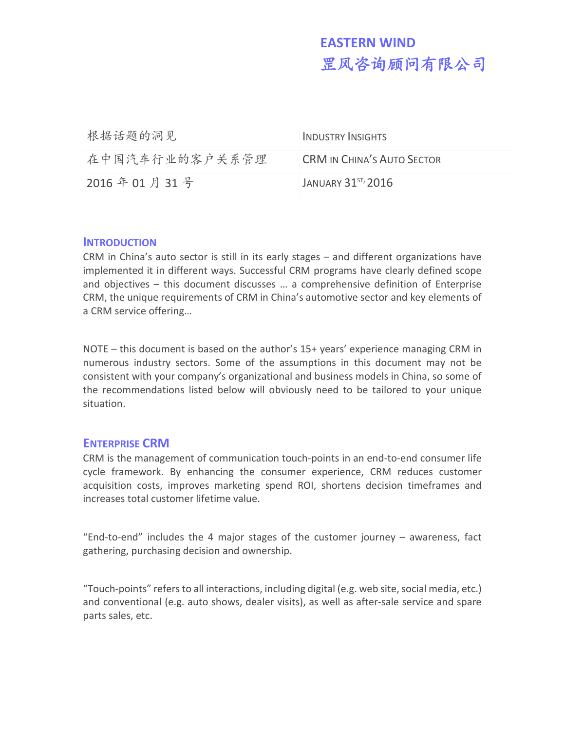# **EASTERN WIND** 罡风咨询顾问有限公司

| 根据话题的洞见        | INDUSTRY INSIGHTS                 |
|----------------|-----------------------------------|
| 在中国汽车行业的客户关系管理 | <b>CRM IN CHINA'S AUTO SECTOR</b> |
| 2016年01月31号    | JANUARY $31^{57}$ , 2016          |

#### **INTRODUCTION**

CRM in China's auto sector is still in its early stages – and different organizations have implemented it in different ways. Successful CRM programs have clearly defined scope and objectives – this document discusses … a comprehensive definition of Enterprise CRM, the unique requirements of CRM in China's automotive sector and key elements of a CRM service offering…

NOTE – this document is based on the author's 15+ years' experience managing CRM in numerous industry sectors. Some of the assumptions in this document may not be consistent with your company's organizational and business models in China, so some of the recommendations listed below will obviously need to be tailored to your unique situation.

#### **ENTERPRISE CRM**

CRM is the management of communication touch-points in an end-to-end consumer life cycle framework. By enhancing the consumer experience, CRM reduces customer acquisition costs, improves marketing spend ROI, shortens decision timeframes and increases total customer lifetime value.

"End-to-end" includes the 4 major stages of the customer journey – awareness, fact gathering, purchasing decision and ownership.

"Touch-points" refers to all interactions, including digital (e.g. web site, social media, etc.) and conventional (e.g. auto shows, dealer visits), as well as after-sale service and spare parts sales, etc.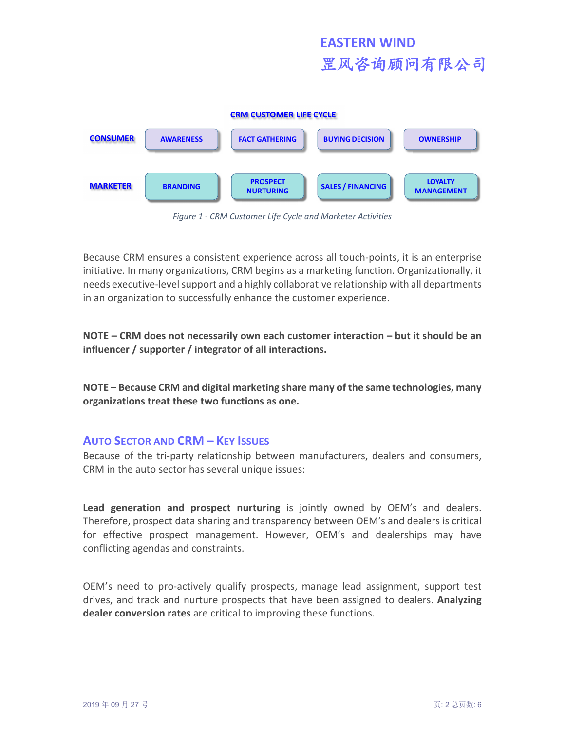

*Figure 1 - CRM Customer Life Cycle and Marketer Activities*

Because CRM ensures a consistent experience across all touch-points, it is an enterprise initiative. In many organizations, CRM begins as a marketing function. Organizationally, it needs executive-level support and a highly collaborative relationship with all departments in an organization to successfully enhance the customer experience.

**NOTE – CRM does not necessarily own each customer interaction – but it should be an influencer / supporter / integrator of all interactions.**

**NOTE – Because CRM and digital marketing share many of the same technologies, many organizations treat these two functions as one.**

### **AUTO SECTOR AND CRM – KEY ISSUES**

Because of the tri-party relationship between manufacturers, dealers and consumers, CRM in the auto sector has several unique issues:

**Lead generation and prospect nurturing** is jointly owned by OEM's and dealers. Therefore, prospect data sharing and transparency between OEM's and dealers is critical for effective prospect management. However, OEM's and dealerships may have conflicting agendas and constraints.

OEM's need to pro-actively qualify prospects, manage lead assignment, support test drives, and track and nurture prospects that have been assigned to dealers. **Analyzing dealer conversion rates** are critical to improving these functions.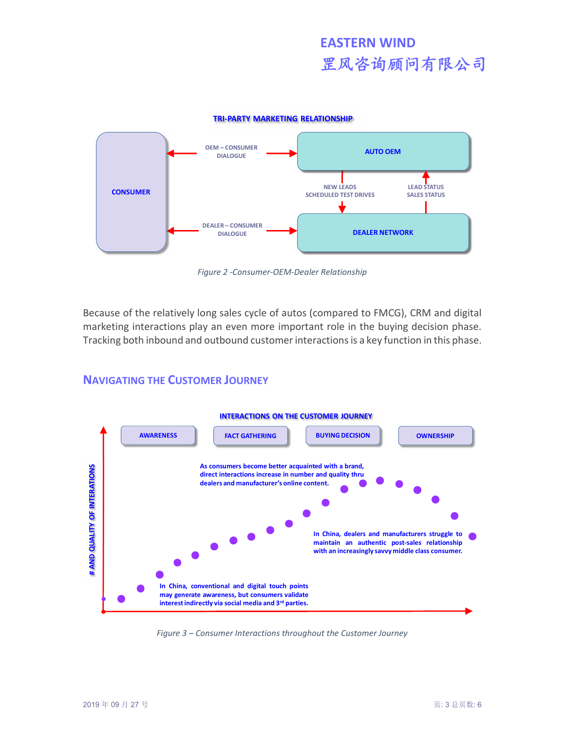**TRI-PARTY MARKETING RELATIONSHIP**



*Figure 2 -Consumer-OEM-Dealer Relationship*

Because of the relatively long sales cycle of autos (compared to FMCG), CRM and digital marketing interactions play an even more important role in the buying decision phase. Tracking both inbound and outbound customer interactions is a key function in this phase.

## **NAVIGATING THE CUSTOMER JOURNEY**



*Figure 3 – Consumer Interactions throughout the Customer Journey*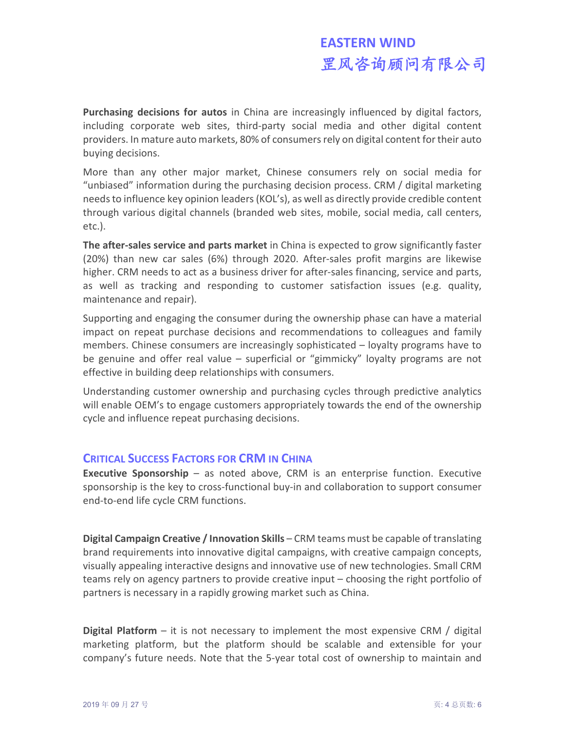# **EASTERN WIND** 罡风咨询顾问有限公司

**Purchasing decisions for autos** in China are increasingly influenced by digital factors, including corporate web sites, third-party social media and other digital content providers. In mature auto markets, 80% of consumers rely on digital content for their auto buying decisions.

More than any other major market, Chinese consumers rely on social media for "unbiased" information during the purchasing decision process. CRM / digital marketing needs to influence key opinion leaders (KOL's), as well as directly provide credible content through various digital channels (branded web sites, mobile, social media, call centers, etc.).

**The after-sales service and parts market** in China is expected to grow significantly faster (20%) than new car sales (6%) through 2020. After-sales profit margins are likewise higher. CRM needs to act as a business driver for after-sales financing, service and parts, as well as tracking and responding to customer satisfaction issues (e.g. quality, maintenance and repair).

Supporting and engaging the consumer during the ownership phase can have a material impact on repeat purchase decisions and recommendations to colleagues and family members. Chinese consumers are increasingly sophisticated – loyalty programs have to be genuine and offer real value – superficial or "gimmicky" loyalty programs are not effective in building deep relationships with consumers.

Understanding customer ownership and purchasing cycles through predictive analytics will enable OEM's to engage customers appropriately towards the end of the ownership cycle and influence repeat purchasing decisions.

## **CRITICAL SUCCESS FACTORS FOR CRM IN CHINA**

**Executive Sponsorship** – as noted above, CRM is an enterprise function. Executive sponsorship is the key to cross-functional buy-in and collaboration to support consumer end-to-end life cycle CRM functions.

**Digital Campaign Creative / Innovation Skills** – CRM teams must be capable of translating brand requirements into innovative digital campaigns, with creative campaign concepts, visually appealing interactive designs and innovative use of new technologies. Small CRM teams rely on agency partners to provide creative input – choosing the right portfolio of partners is necessary in a rapidly growing market such as China.

**Digital Platform** – it is not necessary to implement the most expensive CRM / digital marketing platform, but the platform should be scalable and extensible for your company's future needs. Note that the 5-year total cost of ownership to maintain and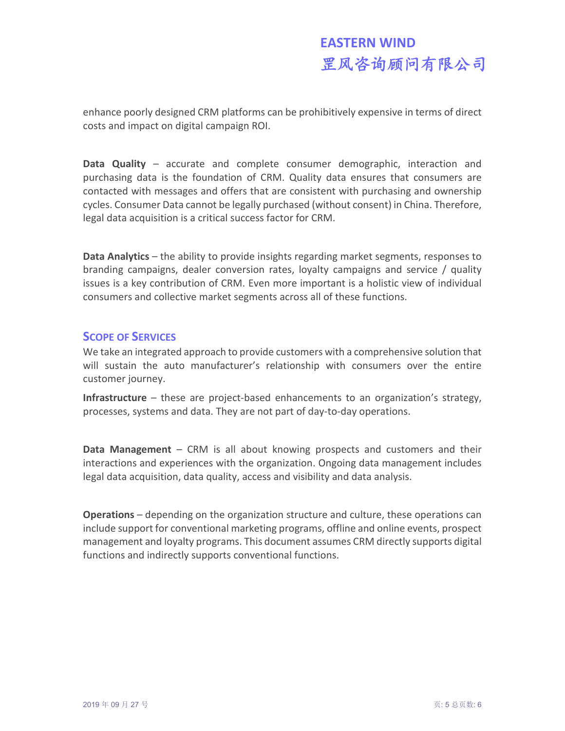# **EASTERN WIND** 罡风咨询顾问有限公司

enhance poorly designed CRM platforms can be prohibitively expensive in terms of direct costs and impact on digital campaign ROI.

**Data Quality** – accurate and complete consumer demographic, interaction and purchasing data is the foundation of CRM. Quality data ensures that consumers are contacted with messages and offers that are consistent with purchasing and ownership cycles. Consumer Data cannot be legally purchased (without consent) in China. Therefore, legal data acquisition is a critical success factor for CRM.

**Data Analytics** – the ability to provide insights regarding market segments, responses to branding campaigns, dealer conversion rates, loyalty campaigns and service / quality issues is a key contribution of CRM. Even more important is a holistic view of individual consumers and collective market segments across all of these functions.

#### **SCOPE OF SERVICES**

We take an integrated approach to provide customers with a comprehensive solution that will sustain the auto manufacturer's relationship with consumers over the entire customer journey.

**Infrastructure** – these are project-based enhancements to an organization's strategy, processes, systems and data. They are not part of day-to-day operations.

**Data Management** – CRM is all about knowing prospects and customers and their interactions and experiences with the organization. Ongoing data management includes legal data acquisition, data quality, access and visibility and data analysis.

**Operations** – depending on the organization structure and culture, these operations can include support for conventional marketing programs, offline and online events, prospect management and loyalty programs. This document assumes CRM directly supports digital functions and indirectly supports conventional functions.